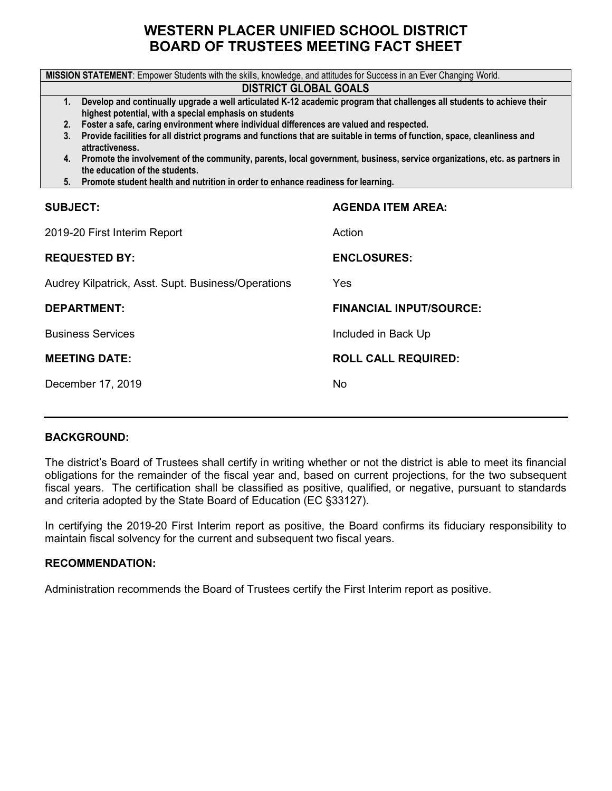# **WESTERN PLACER UNIFIED SCHOOL DISTRICT BOARD OF TRUSTEES MEETING FACT SHEET**

| MISSION STATEMENT: Empower Students with the skills, knowledge, and attitudes for Success in an Ever Changing World.                            |                                                                                          |  |  |  |  |  |  |  |
|-------------------------------------------------------------------------------------------------------------------------------------------------|------------------------------------------------------------------------------------------|--|--|--|--|--|--|--|
| <b>DISTRICT GLOBAL GOALS</b>                                                                                                                    |                                                                                          |  |  |  |  |  |  |  |
| Develop and continually upgrade a well articulated K-12 academic program that challenges all students to achieve their<br>1.                    |                                                                                          |  |  |  |  |  |  |  |
| highest potential, with a special emphasis on students                                                                                          |                                                                                          |  |  |  |  |  |  |  |
| 2.                                                                                                                                              | Foster a safe, caring environment where individual differences are valued and respected. |  |  |  |  |  |  |  |
| 3. Provide facilities for all district programs and functions that are suitable in terms of function, space, cleanliness and<br>attractiveness. |                                                                                          |  |  |  |  |  |  |  |
| 4. Promote the involvement of the community, parents, local government, business, service organizations, etc. as partners in                    |                                                                                          |  |  |  |  |  |  |  |
| the education of the students.<br>5 <sub>1</sub>                                                                                                |                                                                                          |  |  |  |  |  |  |  |
| Promote student health and nutrition in order to enhance readiness for learning.                                                                |                                                                                          |  |  |  |  |  |  |  |
| <b>SUBJECT:</b>                                                                                                                                 | <b>AGENDA ITEM AREA:</b>                                                                 |  |  |  |  |  |  |  |
| 2019-20 First Interim Report                                                                                                                    | Action                                                                                   |  |  |  |  |  |  |  |
| <b>REQUESTED BY:</b>                                                                                                                            | <b>ENCLOSURES:</b>                                                                       |  |  |  |  |  |  |  |
| Audrey Kilpatrick, Asst. Supt. Business/Operations                                                                                              | Yes                                                                                      |  |  |  |  |  |  |  |
| <b>DEPARTMENT:</b>                                                                                                                              | <b>FINANCIAL INPUT/SOURCE:</b>                                                           |  |  |  |  |  |  |  |
| <b>Business Services</b>                                                                                                                        | Included in Back Up                                                                      |  |  |  |  |  |  |  |
| <b>MEETING DATE:</b>                                                                                                                            | <b>ROLL CALL REQUIRED:</b>                                                               |  |  |  |  |  |  |  |
| December 17, 2019                                                                                                                               | No                                                                                       |  |  |  |  |  |  |  |
|                                                                                                                                                 |                                                                                          |  |  |  |  |  |  |  |

#### **BACKGROUND:**

The district's Board of Trustees shall certify in writing whether or not the district is able to meet its financial obligations for the remainder of the fiscal year and, based on current projections, for the two subsequent fiscal years. The certification shall be classified as positive, qualified, or negative, pursuant to standards and criteria adopted by the State Board of Education (EC §33127).

In certifying the 2019-20 First Interim report as positive, the Board confirms its fiduciary responsibility to maintain fiscal solvency for the current and subsequent two fiscal years.

#### **RECOMMENDATION:**

Administration recommends the Board of Trustees certify the First Interim report as positive.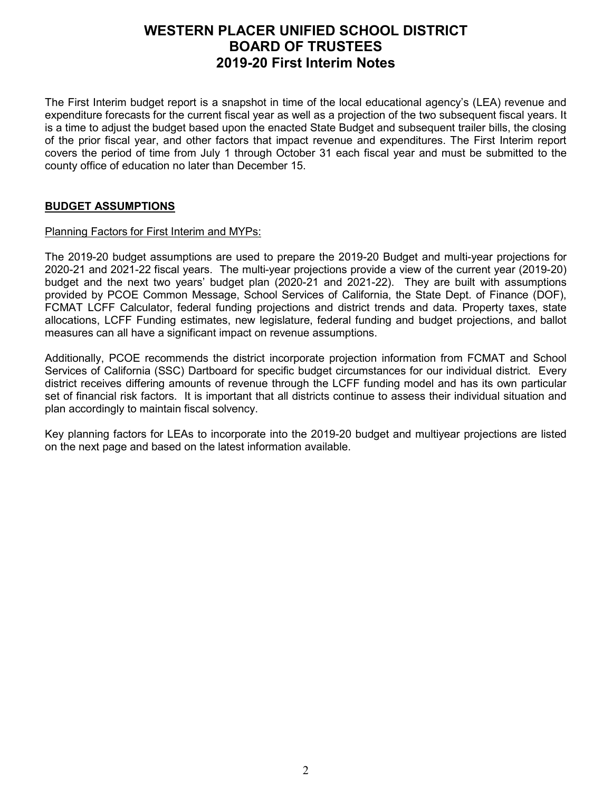The First Interim budget report is a snapshot in time of the local educational agency's (LEA) revenue and expenditure forecasts for the current fiscal year as well as a projection of the two subsequent fiscal years. It is a time to adjust the budget based upon the enacted State Budget and subsequent trailer bills, the closing of the prior fiscal year, and other factors that impact revenue and expenditures. The First Interim report covers the period of time from July 1 through October 31 each fiscal year and must be submitted to the county office of education no later than December 15.

### **BUDGET ASSUMPTIONS**

#### Planning Factors for First Interim and MYPs:

The 2019-20 budget assumptions are used to prepare the 2019-20 Budget and multi-year projections for 2020-21 and 2021-22 fiscal years. The multi-year projections provide a view of the current year (2019-20) budget and the next two years' budget plan (2020-21 and 2021-22). They are built with assumptions provided by PCOE Common Message, School Services of California, the State Dept. of Finance (DOF), FCMAT LCFF Calculator, federal funding projections and district trends and data. Property taxes, state allocations, LCFF Funding estimates, new legislature, federal funding and budget projections, and ballot measures can all have a significant impact on revenue assumptions.

Additionally, PCOE recommends the district incorporate projection information from FCMAT and School Services of California (SSC) Dartboard for specific budget circumstances for our individual district. Every district receives differing amounts of revenue through the LCFF funding model and has its own particular set of financial risk factors. It is important that all districts continue to assess their individual situation and plan accordingly to maintain fiscal solvency.

Key planning factors for LEAs to incorporate into the 2019-20 budget and multiyear projections are listed on the next page and based on the latest information available.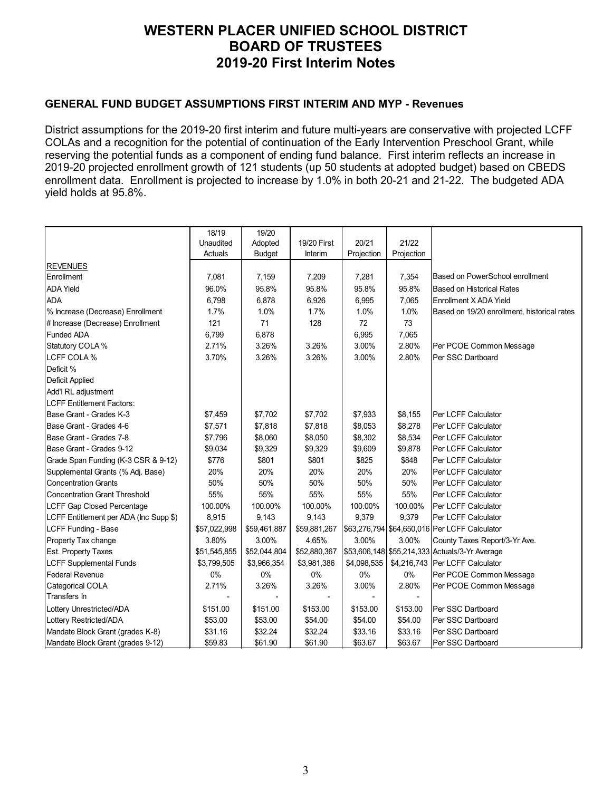#### **GENERAL FUND BUDGET ASSUMPTIONS FIRST INTERIM AND MYP - Revenues**

District assumptions for the 2019-20 first interim and future multi-years are conservative with projected LCFF COLAs and a recognition for the potential of continuation of the Early Intervention Preschool Grant, while reserving the potential funds as a component of ending fund balance. First interim reflects an increase in 2019-20 projected enrollment growth of 121 students (up 50 students at adopted budget) based on CBEDS enrollment data. Enrollment is projected to increase by 1.0% in both 20-21 and 21-22. The budgeted ADA yield holds at 95.8%.

|                                        | 18/19        | 19/20         |              |             |            |                                                |
|----------------------------------------|--------------|---------------|--------------|-------------|------------|------------------------------------------------|
|                                        | Unaudited    | Adopted       | 19/20 First  | 20/21       | 21/22      |                                                |
|                                        | Actuals      | <b>Budget</b> | Interim      | Projection  | Projection |                                                |
| <b>REVENUES</b>                        |              |               |              |             |            |                                                |
| Enrollment                             | 7,081        | 7,159         | 7,209        | 7,281       | 7,354      | Based on PowerSchool enrollment                |
| <b>ADA Yield</b>                       | 96.0%        | 95.8%         | 95.8%        | 95.8%       | 95.8%      | Based on Historical Rates                      |
| <b>ADA</b>                             | 6,798        | 6,878         | 6,926        | 6,995       | 7,065      | Enrollment X ADA Yield                         |
| % Increase (Decrease) Enrollment       | 1.7%         | 1.0%          | 1.7%         | 1.0%        | 1.0%       | Based on 19/20 enrollment, historical rates    |
| # Increase (Decrease) Enrollment       | 121          | 71            | 128          | 72          | 73         |                                                |
| Funded ADA                             | 6,799        | 6,878         |              | 6,995       | 7,065      |                                                |
| Statutory COLA %                       | 2.71%        | 3.26%         | 3.26%        | 3.00%       | 2.80%      | Per PCOE Common Message                        |
| <b>LCFF COLA %</b>                     | 3.70%        | 3.26%         | 3.26%        | 3.00%       | 2.80%      | Per SSC Dartboard                              |
| Deficit %                              |              |               |              |             |            |                                                |
| Deficit Applied                        |              |               |              |             |            |                                                |
| Add'l RL adjustment                    |              |               |              |             |            |                                                |
| <b>LCFF Entitlement Factors:</b>       |              |               |              |             |            |                                                |
| Base Grant - Grades K-3                | \$7,459      | \$7,702       | \$7,702      | \$7,933     | \$8,155    | Per LCFF Calculator                            |
| Base Grant - Grades 4-6                | \$7,571      | \$7,818       | \$7,818      | \$8,053     | \$8,278    | Per LCFF Calculator                            |
| Base Grant - Grades 7-8                | \$7,796      | \$8,060       | \$8,050      | \$8,302     | \$8,534    | Per LCFF Calculator                            |
| Base Grant - Grades 9-12               | \$9,034      | \$9,329       | \$9,329      | \$9,609     | \$9,878    | Per LCFF Calculator                            |
| Grade Span Funding (K-3 CSR & 9-12)    | \$776        | \$801         | \$801        | \$825       | \$848      | Per LCFF Calculator                            |
| Supplemental Grants (% Adj. Base)      | 20%          | 20%           | 20%          | 20%         | 20%        | Per LCFF Calculator                            |
| Concentration Grants                   | 50%          | 50%           | 50%          | 50%         | 50%        | Per LCFF Calculator                            |
| Concentration Grant Threshold          | 55%          | 55%           | 55%          | 55%         | 55%        | Per LCFF Calculator                            |
| LCFF Gap Closed Percentage             | 100.00%      | 100.00%       | 100.00%      | 100.00%     | 100.00%    | Per LCFF Calculator                            |
| LCFF Entitlement per ADA (Inc Supp \$) | 8,915        | 9,143         | 9,143        | 9,379       | 9.379      | Per LCFF Calculator                            |
| LCFF Funding - Base                    | \$57,022,998 | \$59,461,887  | \$59,881,267 |             |            | \$63,276,794 \$64,650,016 Per LCFF Calculator  |
| Property Tax change                    | 3.80%        | 3.00%         | 4.65%        | 3.00%       | 3.00%      | County Taxes Report/3-Yr Ave.                  |
| <b>Est. Property Taxes</b>             | \$51,545,855 | \$52,044,804  | \$52,880,367 |             |            | \$53,606,148 \$55,214,333 Actuals/3-Yr Average |
| <b>LCFF Supplemental Funds</b>         | \$3,799,505  | \$3,966,354   | \$3,981,386  | \$4,098,535 |            | \$4,216,743   Per LCFF Calculator              |
| <b>Federal Revenue</b>                 | 0%           | $0\%$         | $0\%$        | 0%          | 0%         | Per PCOE Common Message                        |
| Categorical COLA                       | 2.71%        | 3.26%         | 3.26%        | 3.00%       | 2.80%      | Per PCOE Common Message                        |
| Transfers In                           |              |               |              |             |            |                                                |
| Lottery Unrestricted/ADA               | \$151.00     | \$151.00      | \$153.00     | \$153.00    | \$153.00   | Per SSC Dartboard                              |
| Lottery Restricted/ADA                 | \$53.00      | \$53.00       | \$54.00      | \$54.00     | \$54.00    | Per SSC Dartboard                              |
| Mandate Block Grant (grades K-8)       | \$31.16      | \$32.24       | \$32.24      | \$33.16     | \$33.16    | Per SSC Dartboard                              |
| Mandate Block Grant (grades 9-12)      | \$59.83      | \$61.90       | \$61.90      | \$63.67     | \$63.67    | Per SSC Dartboard                              |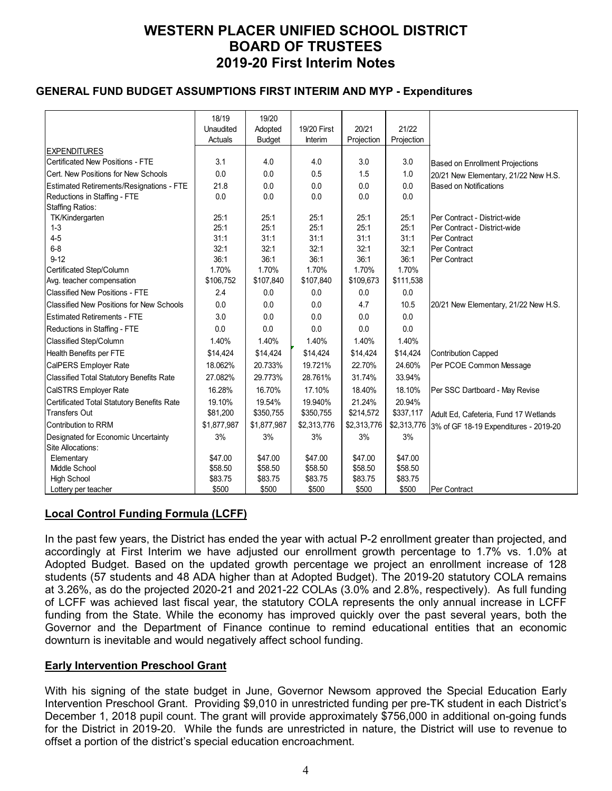### **GENERAL FUND BUDGET ASSUMPTIONS FIRST INTERIM AND MYP - Expenditures**

|                                                 | 18/19       | 19/20         |             |             |             |                                       |
|-------------------------------------------------|-------------|---------------|-------------|-------------|-------------|---------------------------------------|
|                                                 | Unaudited   | Adopted       | 19/20 First | 20/21       | 21/22       |                                       |
|                                                 | Actuals     | <b>Budget</b> | Interim     | Projection  | Projection  |                                       |
| <b>EXPENDITURES</b>                             |             |               |             |             |             |                                       |
| Certificated New Positions - FTE                | 3.1         | 4.0           | 4.0         | 3.0         | 3.0         | Based on Enrollment Projections       |
| <b>ICert. New Positions for New Schools</b>     | 0.0         | 0.0           | 0.5         | 1.5         | 1.0         | 20/21 New Elementary, 21/22 New H.S.  |
| Estimated Retirements/Resignations - FTE        | 21.8        | 0.0           | 0.0         | 0.0         | 0.0         | Based on Notifications                |
| Reductions in Staffing - FTE                    | 0.0         | 0.0           | 0.0         | 0.0         | 0.0         |                                       |
| <b>Staffing Ratios:</b>                         |             |               |             |             |             |                                       |
| TK/Kindergarten                                 | 25:1        | 25:1          | 25:1        | 25:1        | 25:1        | Per Contract - District-wide          |
| $1 - 3$                                         | 25:1        | 25:1          | 25:1        | 25:1        | 25:1        | Per Contract - District-wide          |
| $4 - 5$                                         | 31:1        | 31:1          | 31:1        | 31:1        | 31:1        | <b>Per Contract</b>                   |
| $6 - 8$                                         | 32:1        | 32:1          | 32:1        | 32:1        | 32:1        | Per Contract                          |
| $9 - 12$                                        | 36:1        | 36:1          | 36:1        | 36:1        | 36:1        | <b>Per Contract</b>                   |
| Certificated Step/Column                        | 1.70%       | 1.70%         | 1.70%       | 1.70%       | 1.70%       |                                       |
| Avg. teacher compensation                       | \$106,752   | \$107,840     | \$107,840   | \$109,673   | \$111,538   |                                       |
| Classified New Positions - FTE                  | 2.4         | 0.0           | 0.0         | 0.0         | 0.0         |                                       |
| Classified New Positions for New Schools        | 0.0         | 0.0           | 0.0         | 4.7         | 10.5        | 20/21 New Elementary, 21/22 New H.S.  |
| <b>Estimated Retirements - FTE</b>              | 3.0         | 0.0           | 0.0         | 0.0         | 0.0         |                                       |
| Reductions in Staffing - FTE                    | 0.0         | 0.0           | 0.0         | 0.0         | 0.0         |                                       |
| Classified Step/Column                          | 1.40%       | 1.40%         | 1.40%       | 1.40%       | 1.40%       |                                       |
| Health Benefits per FTE                         | \$14,424    | \$14,424      | \$14,424    | \$14,424    | \$14,424    | Contribution Capped                   |
| CalPERS Employer Rate                           | 18.062%     | 20.733%       | 19.721%     | 22.70%      | 24.60%      | Per PCOE Common Message               |
| <b>Classified Total Statutory Benefits Rate</b> | 27.082%     | 29.773%       | 28.761%     | 31.74%      | 33.94%      |                                       |
| CalSTRS Employer Rate                           | 16.28%      | 16.70%        | 17.10%      | 18.40%      | 18.10%      | Per SSC Dartboard - May Revise        |
| Certificated Total Statutory Benefits Rate      | 19.10%      | 19.54%        | 19.940%     | 21.24%      | 20.94%      |                                       |
| <b>Transfers Out</b>                            | \$81,200    | \$350,755     | \$350,755   | \$214,572   | \$337,117   | Adult Ed, Cafeteria, Fund 17 Wetlands |
| Contribution to RRM                             | \$1,877,987 | \$1,877,987   | \$2,313,776 | \$2,313,776 | \$2,313,776 | 3% of GF 18-19 Expenditures - 2019-20 |
| Designated for Economic Uncertainty             | 3%          | 3%            | 3%          | 3%          | 3%          |                                       |
| Site Allocations:                               |             |               |             |             |             |                                       |
| Elementary                                      | \$47.00     | \$47.00       | \$47.00     | \$47.00     | \$47.00     |                                       |
| <b>Middle School</b>                            | \$58.50     | \$58.50       | \$58.50     | \$58.50     | \$58.50     |                                       |
| <b>High School</b>                              | \$83.75     | \$83.75       | \$83.75     | \$83.75     | \$83.75     |                                       |
| Lottery per teacher                             | \$500       | \$500         | \$500       | \$500       | \$500       | Per Contract                          |

### **Local Control Funding Formula (LCFF)**

In the past few years, the District has ended the year with actual P-2 enrollment greater than projected, and accordingly at First Interim we have adjusted our enrollment growth percentage to 1.7% vs. 1.0% at Adopted Budget. Based on the updated growth percentage we project an enrollment increase of 128 students (57 students and 48 ADA higher than at Adopted Budget). The 2019-20 statutory COLA remains at 3.26%, as do the projected 2020-21 and 2021-22 COLAs (3.0% and 2.8%, respectively). As full funding of LCFF was achieved last fiscal year, the statutory COLA represents the only annual increase in LCFF funding from the State. While the economy has improved quickly over the past several years, both the Governor and the Department of Finance continue to remind educational entities that an economic downturn is inevitable and would negatively affect school funding.

#### **Early Intervention Preschool Grant**

With his signing of the state budget in June, Governor Newsom approved the Special Education Early Intervention Preschool Grant. Providing \$9,010 in unrestricted funding per pre-TK student in each District's December 1, 2018 pupil count. The grant will provide approximately \$756,000 in additional on-going funds for the District in 2019-20. While the funds are unrestricted in nature, the District will use to revenue to offset a portion of the district's special education encroachment.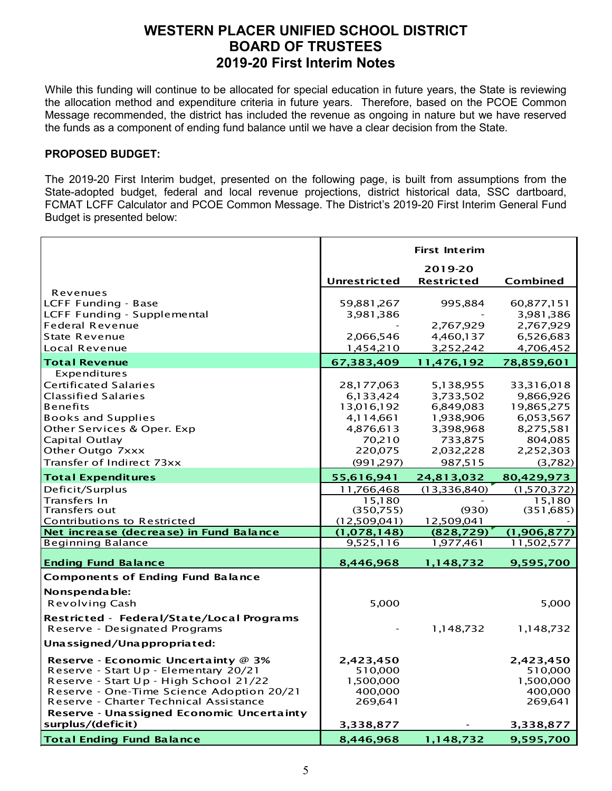While this funding will continue to be allocated for special education in future years, the State is reviewing the allocation method and expenditure criteria in future years. Therefore, based on the PCOE Common Message recommended, the district has included the revenue as ongoing in nature but we have reserved the funds as a component of ending fund balance until we have a clear decision from the State.

#### **PROPOSED BUDGET:**

The 2019-20 First Interim budget, presented on the following page, is built from assumptions from the State-adopted budget, federal and local revenue projections, district historical data, SSC dartboard, FCMAT LCFF Calculator and PCOE Common Message. The District's 2019-20 First Interim General Fund Budget is presented below:

|                                                            |                         | <b>First Interim</b>   |                         |
|------------------------------------------------------------|-------------------------|------------------------|-------------------------|
|                                                            |                         | 2019-20                |                         |
|                                                            | <b>Unrestricted</b>     | <b>Restricted</b>      | Combined                |
| Revenues                                                   |                         |                        |                         |
| <b>LCFF Funding - Base</b>                                 | 59,881,267              | 995,884                | 60,877,151              |
| LCFF Funding - Supplemental                                | 3,981,386               |                        | 3,981,386               |
| <b>Federal Revenue</b><br>State Revenue                    | 2,066,546               | 2,767,929<br>4,460,137 | 2,767,929<br>6,526,683  |
| Local Revenue                                              | 1,454,210               | 3,252,242              | 4,706,452               |
|                                                            |                         |                        |                         |
| <b>Total Revenue</b>                                       | 67,383,409              | 11,476,192             | 78,859,601              |
| Expenditures                                               |                         |                        |                         |
| <b>Certificated Salaries</b><br><b>Classified Salaries</b> | 28,177,063              | 5,138,955              | 33,316,018<br>9,866,926 |
| <b>Benefits</b>                                            | 6,133,424<br>13,016,192 | 3,733,502<br>6,849,083 | 19,865,275              |
| <b>Books and Supplies</b>                                  | 4,114,661               | 1,938,906              | 6,053,567               |
| Other Services & Oper. Exp                                 | 4,876,613               | 3,398,968              | 8,275,581               |
| Capital Outlay                                             | 70,210                  | 733,875                | 804,085                 |
| Other Outgo 7xxx                                           | 220,075                 | 2,032,228              | 2,252,303               |
| Transfer of Indirect 73xx                                  | (991, 297)              | 987,515                | (3,782)                 |
| <b>Total Expenditures</b>                                  | 55,616,941              | 24,813,032             | 80,429,973              |
| Deficit/Surplus                                            | 11,766,468              | (13,336,840)           | (1,570,372)             |
| Transfers In                                               | 15.180                  |                        | 15.180                  |
| Transfers out                                              | (350, 755)              | (930)                  | (351, 685)              |
| Contributions to Restricted                                | (12,509,041)            | 12,509,041             |                         |
| Net increase (decrease) in Fund Balance                    | (1,078,148)             | (828, 729)             | (1,906,877)             |
| <b>Beginning Balance</b>                                   | 9,525,116               | 1,977,461              | 11,502,577              |
| <b>Ending Fund Balance</b>                                 | 8,446,968               | 1,148,732              | 9,595,700               |
| <b>Components of Ending Fund Balance</b>                   |                         |                        |                         |
| Nonspendable:                                              |                         |                        |                         |
| <b>Revolving Cash</b>                                      | 5,000                   |                        | 5,000                   |
| Restricted - Federal/State/Local Programs                  |                         |                        |                         |
| Reserve - Designated Programs                              |                         | 1,148,732              | 1,148,732               |
| Unassigned/Unappropriated:                                 |                         |                        |                         |
| Reserve - Economic Uncertainty @ 3%                        | 2,423,450               |                        | 2,423,450               |
| Reserve - Start Up - Elementary 20/21                      | 510,000                 |                        | 510,000                 |
| Reserve - Start Up - High School 21/22                     | 1,500,000               |                        | 1,500,000               |
| Reserve - One-Time Science Adoption 20/21                  | 400,000                 |                        | 400,000                 |
| Reserve - Charter Technical Assistance                     | 269,641                 |                        | 269,641                 |
| Reserve - Unassigned Economic Uncertainty                  |                         |                        |                         |
| surplus/(deficit)                                          | 3,338,877               |                        | 3,338,877               |
| <b>Total Ending Fund Balance</b>                           | 8,446,968               | 1,148,732              | 9,595,700               |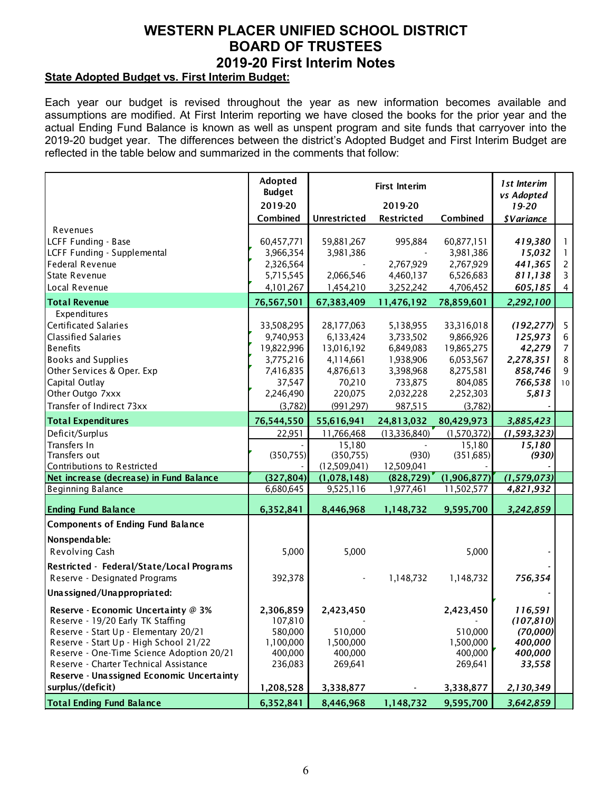### **State Adopted Budget vs. First Interim Budget:**

Each year our budget is revised throughout the year as new information becomes available and assumptions are modified. At First Interim reporting we have closed the books for the prior year and the actual Ending Fund Balance is known as well as unspent program and site funds that carryover into the 2019-20 budget year. The differences between the district's Adopted Budget and First Interim Budget are reflected in the table below and summarized in the comments that follow:

|                                           | Adopted<br><b>Budget</b> |                     | 1st Interim<br>vs Adopted |             |                          |                 |
|-------------------------------------------|--------------------------|---------------------|---------------------------|-------------|--------------------------|-----------------|
|                                           | 2019-20                  |                     | 2019-20                   |             | $19 - 20$                |                 |
|                                           | Combined                 | <b>Unrestricted</b> | <b>Restricted</b>         | Combined    | <i><b>\$Variance</b></i> |                 |
| Revenues                                  |                          |                     |                           |             |                          |                 |
| LCFF Funding - Base                       | 60,457,771               | 59,881,267          | 995,884                   | 60,877,151  | 419,380                  | 1               |
| LCFF Funding - Supplemental               | 3,966,354                | 3,981,386           |                           | 3,981,386   | 15,032                   | 1               |
| Federal Revenue                           | 2,326,564                |                     | 2,767,929                 | 2,767,929   | 441,365                  | $\overline{2}$  |
| State Revenue                             | 5,715,545                | 2,066,546           | 4,460,137                 | 6,526,683   | 811,138                  | 3               |
| Local Revenue                             | 4, 101, 267              | 1,454,210           | 3,252,242                 | 4,706,452   | 605,185                  | $\overline{4}$  |
| <b>Total Revenue</b>                      | 76,567,501               | 67,383,409          | 11,476,192                | 78,859,601  | 2,292,100                |                 |
| Expenditures                              |                          |                     |                           |             |                          |                 |
| Certificated Salaries                     | 33,508,295               | 28,177,063          | 5,138,955                 | 33,316,018  | (192, 277)               | 5               |
| <b>Classified Salaries</b>                | 9,740,953                | 6,133,424           | 3,733,502                 | 9,866,926   | 125,973                  | $\,6\,$         |
| <b>Benefits</b>                           | 19,822,996               | 13,016,192          | 6,849,083                 | 19,865,275  | 42,279                   | $\overline{7}$  |
| <b>Books and Supplies</b>                 | 3,775,216                | 4,114,661           | 1,938,906                 | 6,053,567   | 2,278,351                | 8               |
| Other Services & Oper. Exp                | 7,416,835                | 4,876,613           | 3,398,968                 | 8,275,581   | 858,746                  | 9               |
| Capital Outlay                            | 37,547                   | 70,210              | 733,875                   | 804,085     | 766,538                  | 10 <sup>°</sup> |
| Other Outgo 7xxx                          | 2,246,490                | 220,075             | 2,032,228                 | 2,252,303   | 5,813                    |                 |
| Transfer of Indirect 73xx                 | (3,782)                  | (991, 297)          | 987,515                   | (3,782)     |                          |                 |
| <b>Total Expenditures</b>                 | 76,544,550               | 55,616,941          | 24,813,032                | 80,429,973  | 3,885,423                |                 |
| Deficit/Surplus                           | 22,951                   | 11,766,468          | (13,336,840)              | (1,570,372) | (1, 593, 323)            |                 |
| Transfers In                              |                          | 15,180              |                           | 15,180      | 15,180                   |                 |
| Transfers out                             | (350, 755)               | (350, 755)          | (930)                     | (351, 685)  | (930)                    |                 |
| Contributions to Restricted               |                          | (12,509,041)        | 12,509,041                |             |                          |                 |
| Net increase (decrease) in Fund Balance   | (327, 804)               | (1,078,148)         | (828, 729)                | (1,906,877) | (1,579,073)              |                 |
| <b>Beginning Balance</b>                  | 6,680,645                | 9,525,116           | 1,977,461                 | 11,502,577  | 4,821,932                |                 |
| <b>Ending Fund Balance</b>                | 6,352,841                | 8,446,968           | 1,148,732                 | 9,595,700   | 3,242,859                |                 |
| <b>Components of Ending Fund Balance</b>  |                          |                     |                           |             |                          |                 |
| Nonspendable:                             |                          |                     |                           |             |                          |                 |
| Revolving Cash                            | 5,000                    | 5,000               |                           | 5,000       |                          |                 |
| Restricted - Federal/State/Local Programs |                          |                     |                           |             |                          |                 |
| Reserve - Designated Programs             | 392,378                  |                     | 1,148,732                 | 1,148,732   | 756,354                  |                 |
| Unassigned/Unappropriated:                |                          |                     |                           |             |                          |                 |
| Reserve - Economic Uncertainty @ 3%       | 2,306,859                | 2,423,450           |                           | 2,423,450   | 116,591                  |                 |
| Reserve - 19/20 Early TK Staffing         | 107,810                  |                     |                           |             | (107, 810)               |                 |
| Reserve - Start Up - Elementary 20/21     | 580,000                  | 510,000             |                           | 510,000     | (70,000)                 |                 |
| Reserve - Start Up - High School 21/22    | 1,100,000                | 1,500,000           |                           | 1,500,000   | 400,000                  |                 |
| Reserve - One-Time Science Adoption 20/21 | 400,000                  | 400,000             |                           | 400,000     | 400,000                  |                 |
| Reserve - Charter Technical Assistance    | 236,083                  | 269,641             |                           | 269,641     | 33,558                   |                 |
| Reserve - Unassigned Economic Uncertainty |                          |                     |                           |             |                          |                 |
| surplus/(deficit)                         | 1,208,528                | 3,338,877           |                           | 3,338,877   | 2,130,349                |                 |
| <b>Total Ending Fund Balance</b>          | 6,352,841                | 8,446,968           | 1,148,732                 | 9,595,700   | 3,642,859                |                 |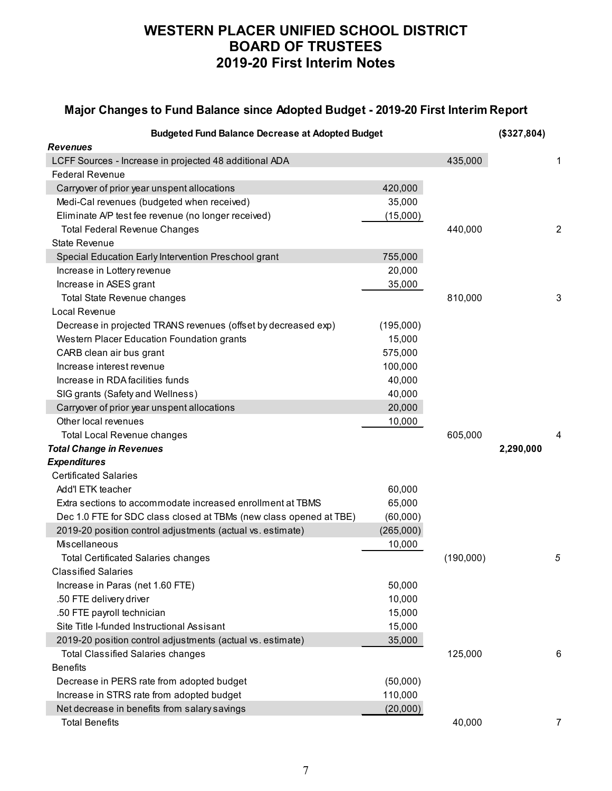### **Major Changes to Fund Balance since Adopted Budget - 2019-20 First Interim Report**

| <b>Budgeted Fund Balance Decrease at Adopted Budget</b>            |           |           |           |                |  |  |
|--------------------------------------------------------------------|-----------|-----------|-----------|----------------|--|--|
| <b>Revenues</b>                                                    |           |           |           |                |  |  |
| LCFF Sources - Increase in projected 48 additional ADA             |           | 435,000   |           | 1              |  |  |
| <b>Federal Revenue</b>                                             |           |           |           |                |  |  |
| Carryover of prior year unspent allocations                        | 420,000   |           |           |                |  |  |
| Medi-Cal revenues (budgeted when received)                         | 35,000    |           |           |                |  |  |
| Eliminate A/P test fee revenue (no longer received)                | (15,000)  |           |           |                |  |  |
| <b>Total Federal Revenue Changes</b>                               |           | 440,000   |           | $\overline{c}$ |  |  |
| <b>State Revenue</b>                                               |           |           |           |                |  |  |
| Special Education Early Intervention Preschool grant               | 755,000   |           |           |                |  |  |
| Increase in Lottery revenue                                        | 20,000    |           |           |                |  |  |
| Increase in ASES grant                                             | 35,000    |           |           |                |  |  |
| Total State Revenue changes                                        |           | 810,000   |           | 3              |  |  |
| Local Revenue                                                      |           |           |           |                |  |  |
| Decrease in projected TRANS revenues (offset by decreased exp)     | (195,000) |           |           |                |  |  |
| Western Placer Education Foundation grants                         | 15,000    |           |           |                |  |  |
| CARB clean air bus grant                                           | 575,000   |           |           |                |  |  |
| Increase interest revenue                                          | 100,000   |           |           |                |  |  |
| Increase in RDA facilities funds                                   | 40,000    |           |           |                |  |  |
| SIG grants (Safety and Wellness)                                   | 40,000    |           |           |                |  |  |
| Carryover of prior year unspent allocations                        | 20,000    |           |           |                |  |  |
| Other local revenues                                               | 10,000    |           |           |                |  |  |
| <b>Total Local Revenue changes</b>                                 |           | 605,000   |           | 4              |  |  |
| <b>Total Change in Revenues</b>                                    |           |           | 2,290,000 |                |  |  |
| <b>Expenditures</b>                                                |           |           |           |                |  |  |
| <b>Certificated Salaries</b>                                       |           |           |           |                |  |  |
| Add'l ETK teacher                                                  | 60,000    |           |           |                |  |  |
| Extra sections to accommodate increased enrollment at TBMS         | 65,000    |           |           |                |  |  |
| Dec 1.0 FTE for SDC class closed at TBMs (new class opened at TBE) | (60,000)  |           |           |                |  |  |
| 2019-20 position control adjustments (actual vs. estimate)         | (265,000) |           |           |                |  |  |
| Miscellaneous                                                      | 10,000    |           |           |                |  |  |
| <b>Total Certificated Salaries changes</b>                         |           | (190,000) |           | 5              |  |  |
| <b>Classified Salaries</b>                                         |           |           |           |                |  |  |
| Increase in Paras (net 1.60 FTE)                                   | 50,000    |           |           |                |  |  |
| .50 FTE delivery driver                                            | 10,000    |           |           |                |  |  |
| .50 FTE payroll technician                                         | 15,000    |           |           |                |  |  |
| Site Title I-funded Instructional Assisant                         | 15,000    |           |           |                |  |  |
| 2019-20 position control adjustments (actual vs. estimate)         | 35,000    |           |           |                |  |  |
| <b>Total Classified Salaries changes</b>                           |           | 125,000   |           | 6              |  |  |
| <b>Benefits</b>                                                    |           |           |           |                |  |  |
| Decrease in PERS rate from adopted budget                          | (50,000)  |           |           |                |  |  |
| Increase in STRS rate from adopted budget                          | 110,000   |           |           |                |  |  |
| Net decrease in benefits from salary savings                       | (20,000)  |           |           |                |  |  |
| <b>Total Benefits</b>                                              |           | 40,000    |           | 7              |  |  |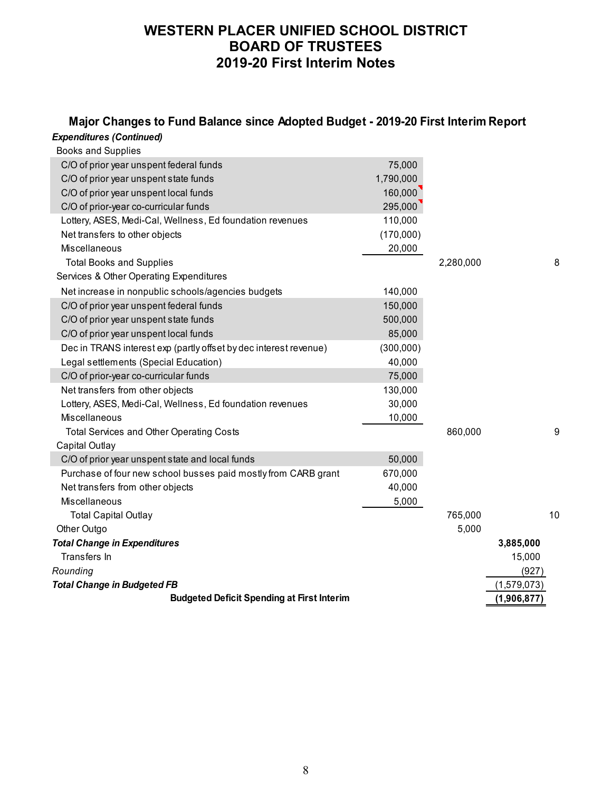#### *Expenditures (Continued)* **Major Changes to Fund Balance since Adopted Budget - 2019-20 First Interim Report**

| Experionules (Continued)                                          |           |           |             |  |
|-------------------------------------------------------------------|-----------|-----------|-------------|--|
| <b>Books and Supplies</b>                                         |           |           |             |  |
| C/O of prior year unspent federal funds                           | 75,000    |           |             |  |
| C/O of prior year unspent state funds                             | 1,790,000 |           |             |  |
| C/O of prior year unspent local funds                             | 160,000   |           |             |  |
| C/O of prior-year co-curricular funds                             | 295,000   |           |             |  |
| Lottery, ASES, Medi-Cal, Wellness, Ed foundation revenues         | 110,000   |           |             |  |
| Net transfers to other objects                                    | (170,000) |           |             |  |
| <b>Miscellaneous</b>                                              | 20,000    |           |             |  |
| <b>Total Books and Supplies</b>                                   |           | 2,280,000 | 8           |  |
| Services & Other Operating Expenditures                           |           |           |             |  |
| Net increase in nonpublic schools/agencies budgets                | 140,000   |           |             |  |
| C/O of prior year unspent federal funds                           | 150,000   |           |             |  |
| C/O of prior year unspent state funds                             | 500,000   |           |             |  |
| C/O of prior year unspent local funds                             | 85,000    |           |             |  |
| Dec in TRANS interest exp (partly offset by dec interest revenue) | (300,000) |           |             |  |
| Legal settlements (Special Education)                             | 40,000    |           |             |  |
| C/O of prior-year co-curricular funds                             | 75,000    |           |             |  |
| Net transfers from other objects                                  | 130,000   |           |             |  |
| Lottery, ASES, Medi-Cal, Wellness, Ed foundation revenues         | 30,000    |           |             |  |
| Miscellaneous                                                     | 10,000    |           |             |  |
| <b>Total Services and Other Operating Costs</b>                   |           | 860,000   | 9           |  |
| Capital Outlay                                                    |           |           |             |  |
| C/O of prior year unspent state and local funds                   | 50,000    |           |             |  |
| Purchase of four new school busses paid mostly from CARB grant    | 670,000   |           |             |  |
| Net transfers from other objects                                  | 40,000    |           |             |  |
| <b>Miscellaneous</b>                                              | 5,000     |           |             |  |
| <b>Total Capital Outlay</b>                                       |           | 765,000   | 10          |  |
| Other Outgo                                                       |           | 5,000     |             |  |
| <b>Total Change in Expenditures</b>                               |           |           | 3,885,000   |  |
| Transfers In                                                      |           |           | 15,000      |  |
| Rounding                                                          |           |           | (927)       |  |
| <b>Total Change in Budgeted FB</b>                                |           |           | (1,579,073) |  |
| <b>Budgeted Deficit Spending at First Interim</b>                 |           |           | (1,906,877) |  |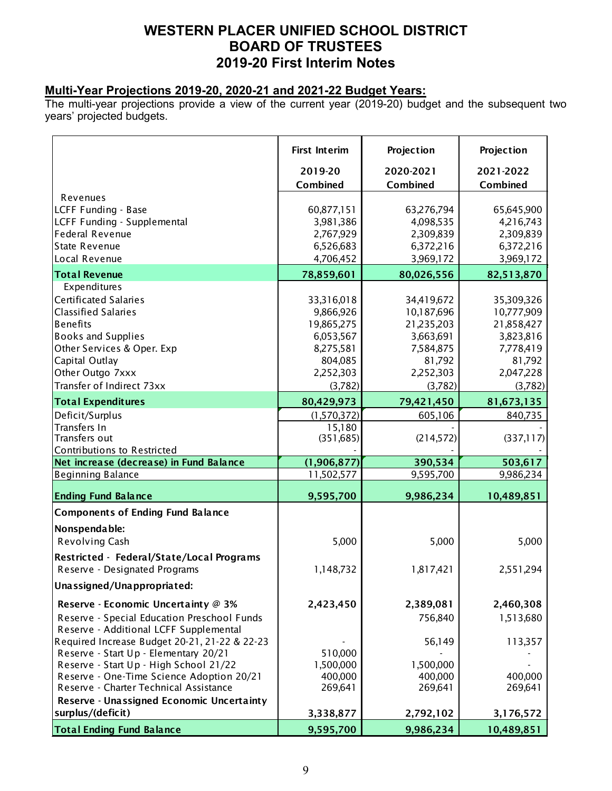### **Multi-Year Projections 2019-20, 2020-21 and 2021-22 Budget Years:**

The multi-year projections provide a view of the current year (2019-20) budget and the subsequent two years' projected budgets.

| 2019-20<br>2020-2021<br>2021-2022<br>Combined<br>Combined<br>Combined<br>Revenues<br>LCFF Funding - Base<br>60,877,151<br>63,276,794<br>65,645,900<br>LCFF Funding - Supplemental<br>3,981,386<br>4,098,535<br>4,216,743<br><b>Federal Revenue</b><br>2,767,929<br>2,309,839<br>2,309,839<br><b>State Revenue</b><br>6,526,683<br>6,372,216<br>6,372,216<br>Local Revenue<br>4,706,452<br>3,969,172<br>3,969,172<br><b>Total Revenue</b><br>78,859,601<br>80,026,556<br>82,513,870<br>Expenditures<br><b>Certificated Salaries</b><br>33,316,018<br>35,309,326<br>34,419,672<br><b>Classified Salaries</b><br>9,866,926<br>10,187,696<br>10,777,909<br><b>Benefits</b><br>19,865,275<br>21,235,203<br>21,858,427<br><b>Books and Supplies</b><br>6,053,567<br>3,663,691<br>3,823,816<br>Other Services & Oper. Exp<br>8,275,581<br>7,584,875<br>7,778,419<br>Capital Outlay<br>804,085<br>81,792<br>81,792<br>Other Outgo 7xxx<br>2,252,303<br>2,252,303<br>2,047,228<br>Transfer of Indirect 73xx<br>(3,782)<br>(3,782)<br>(3,782)<br><b>Total Expenditures</b><br>80,429,973<br>79,421,450<br>81,673,135<br>Deficit/Surplus<br>(1,570,372)<br>605,106<br>840,735<br>Transfers In<br>15,180<br>Transfers out<br>(351, 685)<br>(214, 572)<br>(337,117)<br>Contributions to Restricted<br>Net increase (decrease) in Fund Balance<br>390,534<br>503,617<br>(1,906,877)<br>11,502,577<br>9,595,700<br>9,986,234<br><b>Ending Fund Balance</b><br>9,595,700<br>9,986,234<br>10,489,851<br><b>Components of Ending Fund Balance</b><br>Nonspendable:<br>Revolving Cash<br>5,000<br>5,000<br>5,000<br>Restricted - Federal/State/Local Programs<br>Reserve - Designated Programs<br>1,148,732<br>1,817,421<br>2,551,294<br>Unassigned/Unappropriated:<br>2,423,450<br>Reserve - Economic Uncertainty @ 3%<br>2,389,081<br>2,460,308<br>Reserve - Special Education Preschool Funds<br>756,840<br>1,513,680<br>Reserve - Additional LCFF Supplemental<br>Required Increase Budget 20-21, 21-22 & 22-23<br>56,149<br>113,357<br>Reserve - Start Up - Elementary 20/21<br>510,000<br>Reserve - Start Up - High School 21/22<br>1,500,000<br>1,500,000<br>Reserve - One-Time Science Adoption 20/21<br>400,000<br>400,000<br>400,000<br>Reserve - Charter Technical Assistance<br>269,641<br>269,641<br>269,641<br>Reserve - Unassigned Economic Uncertainty<br>surplus/(deficit)<br>3,338,877<br>2,792,102<br>3,176,572<br><b>Total Ending Fund Balance</b><br>9,595,700<br>9,986,234<br>10,489,851 |                          | <b>First Interim</b> | Projection | Projection |
|---------------------------------------------------------------------------------------------------------------------------------------------------------------------------------------------------------------------------------------------------------------------------------------------------------------------------------------------------------------------------------------------------------------------------------------------------------------------------------------------------------------------------------------------------------------------------------------------------------------------------------------------------------------------------------------------------------------------------------------------------------------------------------------------------------------------------------------------------------------------------------------------------------------------------------------------------------------------------------------------------------------------------------------------------------------------------------------------------------------------------------------------------------------------------------------------------------------------------------------------------------------------------------------------------------------------------------------------------------------------------------------------------------------------------------------------------------------------------------------------------------------------------------------------------------------------------------------------------------------------------------------------------------------------------------------------------------------------------------------------------------------------------------------------------------------------------------------------------------------------------------------------------------------------------------------------------------------------------------------------------------------------------------------------------------------------------------------------------------------------------------------------------------------------------------------------------------------------------------------------------------------------------------------------------------------------------------------------------------------------------------------------------------------------------------------------------------------------------------------------|--------------------------|----------------------|------------|------------|
|                                                                                                                                                                                                                                                                                                                                                                                                                                                                                                                                                                                                                                                                                                                                                                                                                                                                                                                                                                                                                                                                                                                                                                                                                                                                                                                                                                                                                                                                                                                                                                                                                                                                                                                                                                                                                                                                                                                                                                                                                                                                                                                                                                                                                                                                                                                                                                                                                                                                                             |                          |                      |            |            |
|                                                                                                                                                                                                                                                                                                                                                                                                                                                                                                                                                                                                                                                                                                                                                                                                                                                                                                                                                                                                                                                                                                                                                                                                                                                                                                                                                                                                                                                                                                                                                                                                                                                                                                                                                                                                                                                                                                                                                                                                                                                                                                                                                                                                                                                                                                                                                                                                                                                                                             |                          |                      |            |            |
|                                                                                                                                                                                                                                                                                                                                                                                                                                                                                                                                                                                                                                                                                                                                                                                                                                                                                                                                                                                                                                                                                                                                                                                                                                                                                                                                                                                                                                                                                                                                                                                                                                                                                                                                                                                                                                                                                                                                                                                                                                                                                                                                                                                                                                                                                                                                                                                                                                                                                             |                          |                      |            |            |
|                                                                                                                                                                                                                                                                                                                                                                                                                                                                                                                                                                                                                                                                                                                                                                                                                                                                                                                                                                                                                                                                                                                                                                                                                                                                                                                                                                                                                                                                                                                                                                                                                                                                                                                                                                                                                                                                                                                                                                                                                                                                                                                                                                                                                                                                                                                                                                                                                                                                                             |                          |                      |            |            |
|                                                                                                                                                                                                                                                                                                                                                                                                                                                                                                                                                                                                                                                                                                                                                                                                                                                                                                                                                                                                                                                                                                                                                                                                                                                                                                                                                                                                                                                                                                                                                                                                                                                                                                                                                                                                                                                                                                                                                                                                                                                                                                                                                                                                                                                                                                                                                                                                                                                                                             |                          |                      |            |            |
|                                                                                                                                                                                                                                                                                                                                                                                                                                                                                                                                                                                                                                                                                                                                                                                                                                                                                                                                                                                                                                                                                                                                                                                                                                                                                                                                                                                                                                                                                                                                                                                                                                                                                                                                                                                                                                                                                                                                                                                                                                                                                                                                                                                                                                                                                                                                                                                                                                                                                             |                          |                      |            |            |
|                                                                                                                                                                                                                                                                                                                                                                                                                                                                                                                                                                                                                                                                                                                                                                                                                                                                                                                                                                                                                                                                                                                                                                                                                                                                                                                                                                                                                                                                                                                                                                                                                                                                                                                                                                                                                                                                                                                                                                                                                                                                                                                                                                                                                                                                                                                                                                                                                                                                                             |                          |                      |            |            |
|                                                                                                                                                                                                                                                                                                                                                                                                                                                                                                                                                                                                                                                                                                                                                                                                                                                                                                                                                                                                                                                                                                                                                                                                                                                                                                                                                                                                                                                                                                                                                                                                                                                                                                                                                                                                                                                                                                                                                                                                                                                                                                                                                                                                                                                                                                                                                                                                                                                                                             |                          |                      |            |            |
|                                                                                                                                                                                                                                                                                                                                                                                                                                                                                                                                                                                                                                                                                                                                                                                                                                                                                                                                                                                                                                                                                                                                                                                                                                                                                                                                                                                                                                                                                                                                                                                                                                                                                                                                                                                                                                                                                                                                                                                                                                                                                                                                                                                                                                                                                                                                                                                                                                                                                             |                          |                      |            |            |
|                                                                                                                                                                                                                                                                                                                                                                                                                                                                                                                                                                                                                                                                                                                                                                                                                                                                                                                                                                                                                                                                                                                                                                                                                                                                                                                                                                                                                                                                                                                                                                                                                                                                                                                                                                                                                                                                                                                                                                                                                                                                                                                                                                                                                                                                                                                                                                                                                                                                                             |                          |                      |            |            |
|                                                                                                                                                                                                                                                                                                                                                                                                                                                                                                                                                                                                                                                                                                                                                                                                                                                                                                                                                                                                                                                                                                                                                                                                                                                                                                                                                                                                                                                                                                                                                                                                                                                                                                                                                                                                                                                                                                                                                                                                                                                                                                                                                                                                                                                                                                                                                                                                                                                                                             |                          |                      |            |            |
|                                                                                                                                                                                                                                                                                                                                                                                                                                                                                                                                                                                                                                                                                                                                                                                                                                                                                                                                                                                                                                                                                                                                                                                                                                                                                                                                                                                                                                                                                                                                                                                                                                                                                                                                                                                                                                                                                                                                                                                                                                                                                                                                                                                                                                                                                                                                                                                                                                                                                             |                          |                      |            |            |
|                                                                                                                                                                                                                                                                                                                                                                                                                                                                                                                                                                                                                                                                                                                                                                                                                                                                                                                                                                                                                                                                                                                                                                                                                                                                                                                                                                                                                                                                                                                                                                                                                                                                                                                                                                                                                                                                                                                                                                                                                                                                                                                                                                                                                                                                                                                                                                                                                                                                                             |                          |                      |            |            |
|                                                                                                                                                                                                                                                                                                                                                                                                                                                                                                                                                                                                                                                                                                                                                                                                                                                                                                                                                                                                                                                                                                                                                                                                                                                                                                                                                                                                                                                                                                                                                                                                                                                                                                                                                                                                                                                                                                                                                                                                                                                                                                                                                                                                                                                                                                                                                                                                                                                                                             |                          |                      |            |            |
|                                                                                                                                                                                                                                                                                                                                                                                                                                                                                                                                                                                                                                                                                                                                                                                                                                                                                                                                                                                                                                                                                                                                                                                                                                                                                                                                                                                                                                                                                                                                                                                                                                                                                                                                                                                                                                                                                                                                                                                                                                                                                                                                                                                                                                                                                                                                                                                                                                                                                             |                          |                      |            |            |
|                                                                                                                                                                                                                                                                                                                                                                                                                                                                                                                                                                                                                                                                                                                                                                                                                                                                                                                                                                                                                                                                                                                                                                                                                                                                                                                                                                                                                                                                                                                                                                                                                                                                                                                                                                                                                                                                                                                                                                                                                                                                                                                                                                                                                                                                                                                                                                                                                                                                                             |                          |                      |            |            |
|                                                                                                                                                                                                                                                                                                                                                                                                                                                                                                                                                                                                                                                                                                                                                                                                                                                                                                                                                                                                                                                                                                                                                                                                                                                                                                                                                                                                                                                                                                                                                                                                                                                                                                                                                                                                                                                                                                                                                                                                                                                                                                                                                                                                                                                                                                                                                                                                                                                                                             |                          |                      |            |            |
|                                                                                                                                                                                                                                                                                                                                                                                                                                                                                                                                                                                                                                                                                                                                                                                                                                                                                                                                                                                                                                                                                                                                                                                                                                                                                                                                                                                                                                                                                                                                                                                                                                                                                                                                                                                                                                                                                                                                                                                                                                                                                                                                                                                                                                                                                                                                                                                                                                                                                             |                          |                      |            |            |
|                                                                                                                                                                                                                                                                                                                                                                                                                                                                                                                                                                                                                                                                                                                                                                                                                                                                                                                                                                                                                                                                                                                                                                                                                                                                                                                                                                                                                                                                                                                                                                                                                                                                                                                                                                                                                                                                                                                                                                                                                                                                                                                                                                                                                                                                                                                                                                                                                                                                                             |                          |                      |            |            |
|                                                                                                                                                                                                                                                                                                                                                                                                                                                                                                                                                                                                                                                                                                                                                                                                                                                                                                                                                                                                                                                                                                                                                                                                                                                                                                                                                                                                                                                                                                                                                                                                                                                                                                                                                                                                                                                                                                                                                                                                                                                                                                                                                                                                                                                                                                                                                                                                                                                                                             |                          |                      |            |            |
|                                                                                                                                                                                                                                                                                                                                                                                                                                                                                                                                                                                                                                                                                                                                                                                                                                                                                                                                                                                                                                                                                                                                                                                                                                                                                                                                                                                                                                                                                                                                                                                                                                                                                                                                                                                                                                                                                                                                                                                                                                                                                                                                                                                                                                                                                                                                                                                                                                                                                             |                          |                      |            |            |
|                                                                                                                                                                                                                                                                                                                                                                                                                                                                                                                                                                                                                                                                                                                                                                                                                                                                                                                                                                                                                                                                                                                                                                                                                                                                                                                                                                                                                                                                                                                                                                                                                                                                                                                                                                                                                                                                                                                                                                                                                                                                                                                                                                                                                                                                                                                                                                                                                                                                                             |                          |                      |            |            |
|                                                                                                                                                                                                                                                                                                                                                                                                                                                                                                                                                                                                                                                                                                                                                                                                                                                                                                                                                                                                                                                                                                                                                                                                                                                                                                                                                                                                                                                                                                                                                                                                                                                                                                                                                                                                                                                                                                                                                                                                                                                                                                                                                                                                                                                                                                                                                                                                                                                                                             |                          |                      |            |            |
|                                                                                                                                                                                                                                                                                                                                                                                                                                                                                                                                                                                                                                                                                                                                                                                                                                                                                                                                                                                                                                                                                                                                                                                                                                                                                                                                                                                                                                                                                                                                                                                                                                                                                                                                                                                                                                                                                                                                                                                                                                                                                                                                                                                                                                                                                                                                                                                                                                                                                             | <b>Beginning Balance</b> |                      |            |            |
|                                                                                                                                                                                                                                                                                                                                                                                                                                                                                                                                                                                                                                                                                                                                                                                                                                                                                                                                                                                                                                                                                                                                                                                                                                                                                                                                                                                                                                                                                                                                                                                                                                                                                                                                                                                                                                                                                                                                                                                                                                                                                                                                                                                                                                                                                                                                                                                                                                                                                             |                          |                      |            |            |
|                                                                                                                                                                                                                                                                                                                                                                                                                                                                                                                                                                                                                                                                                                                                                                                                                                                                                                                                                                                                                                                                                                                                                                                                                                                                                                                                                                                                                                                                                                                                                                                                                                                                                                                                                                                                                                                                                                                                                                                                                                                                                                                                                                                                                                                                                                                                                                                                                                                                                             |                          |                      |            |            |
|                                                                                                                                                                                                                                                                                                                                                                                                                                                                                                                                                                                                                                                                                                                                                                                                                                                                                                                                                                                                                                                                                                                                                                                                                                                                                                                                                                                                                                                                                                                                                                                                                                                                                                                                                                                                                                                                                                                                                                                                                                                                                                                                                                                                                                                                                                                                                                                                                                                                                             |                          |                      |            |            |
|                                                                                                                                                                                                                                                                                                                                                                                                                                                                                                                                                                                                                                                                                                                                                                                                                                                                                                                                                                                                                                                                                                                                                                                                                                                                                                                                                                                                                                                                                                                                                                                                                                                                                                                                                                                                                                                                                                                                                                                                                                                                                                                                                                                                                                                                                                                                                                                                                                                                                             |                          |                      |            |            |
|                                                                                                                                                                                                                                                                                                                                                                                                                                                                                                                                                                                                                                                                                                                                                                                                                                                                                                                                                                                                                                                                                                                                                                                                                                                                                                                                                                                                                                                                                                                                                                                                                                                                                                                                                                                                                                                                                                                                                                                                                                                                                                                                                                                                                                                                                                                                                                                                                                                                                             |                          |                      |            |            |
|                                                                                                                                                                                                                                                                                                                                                                                                                                                                                                                                                                                                                                                                                                                                                                                                                                                                                                                                                                                                                                                                                                                                                                                                                                                                                                                                                                                                                                                                                                                                                                                                                                                                                                                                                                                                                                                                                                                                                                                                                                                                                                                                                                                                                                                                                                                                                                                                                                                                                             |                          |                      |            |            |
|                                                                                                                                                                                                                                                                                                                                                                                                                                                                                                                                                                                                                                                                                                                                                                                                                                                                                                                                                                                                                                                                                                                                                                                                                                                                                                                                                                                                                                                                                                                                                                                                                                                                                                                                                                                                                                                                                                                                                                                                                                                                                                                                                                                                                                                                                                                                                                                                                                                                                             |                          |                      |            |            |
|                                                                                                                                                                                                                                                                                                                                                                                                                                                                                                                                                                                                                                                                                                                                                                                                                                                                                                                                                                                                                                                                                                                                                                                                                                                                                                                                                                                                                                                                                                                                                                                                                                                                                                                                                                                                                                                                                                                                                                                                                                                                                                                                                                                                                                                                                                                                                                                                                                                                                             |                          |                      |            |            |
|                                                                                                                                                                                                                                                                                                                                                                                                                                                                                                                                                                                                                                                                                                                                                                                                                                                                                                                                                                                                                                                                                                                                                                                                                                                                                                                                                                                                                                                                                                                                                                                                                                                                                                                                                                                                                                                                                                                                                                                                                                                                                                                                                                                                                                                                                                                                                                                                                                                                                             |                          |                      |            |            |
|                                                                                                                                                                                                                                                                                                                                                                                                                                                                                                                                                                                                                                                                                                                                                                                                                                                                                                                                                                                                                                                                                                                                                                                                                                                                                                                                                                                                                                                                                                                                                                                                                                                                                                                                                                                                                                                                                                                                                                                                                                                                                                                                                                                                                                                                                                                                                                                                                                                                                             |                          |                      |            |            |
|                                                                                                                                                                                                                                                                                                                                                                                                                                                                                                                                                                                                                                                                                                                                                                                                                                                                                                                                                                                                                                                                                                                                                                                                                                                                                                                                                                                                                                                                                                                                                                                                                                                                                                                                                                                                                                                                                                                                                                                                                                                                                                                                                                                                                                                                                                                                                                                                                                                                                             |                          |                      |            |            |
|                                                                                                                                                                                                                                                                                                                                                                                                                                                                                                                                                                                                                                                                                                                                                                                                                                                                                                                                                                                                                                                                                                                                                                                                                                                                                                                                                                                                                                                                                                                                                                                                                                                                                                                                                                                                                                                                                                                                                                                                                                                                                                                                                                                                                                                                                                                                                                                                                                                                                             |                          |                      |            |            |
|                                                                                                                                                                                                                                                                                                                                                                                                                                                                                                                                                                                                                                                                                                                                                                                                                                                                                                                                                                                                                                                                                                                                                                                                                                                                                                                                                                                                                                                                                                                                                                                                                                                                                                                                                                                                                                                                                                                                                                                                                                                                                                                                                                                                                                                                                                                                                                                                                                                                                             |                          |                      |            |            |
|                                                                                                                                                                                                                                                                                                                                                                                                                                                                                                                                                                                                                                                                                                                                                                                                                                                                                                                                                                                                                                                                                                                                                                                                                                                                                                                                                                                                                                                                                                                                                                                                                                                                                                                                                                                                                                                                                                                                                                                                                                                                                                                                                                                                                                                                                                                                                                                                                                                                                             |                          |                      |            |            |
|                                                                                                                                                                                                                                                                                                                                                                                                                                                                                                                                                                                                                                                                                                                                                                                                                                                                                                                                                                                                                                                                                                                                                                                                                                                                                                                                                                                                                                                                                                                                                                                                                                                                                                                                                                                                                                                                                                                                                                                                                                                                                                                                                                                                                                                                                                                                                                                                                                                                                             |                          |                      |            |            |
|                                                                                                                                                                                                                                                                                                                                                                                                                                                                                                                                                                                                                                                                                                                                                                                                                                                                                                                                                                                                                                                                                                                                                                                                                                                                                                                                                                                                                                                                                                                                                                                                                                                                                                                                                                                                                                                                                                                                                                                                                                                                                                                                                                                                                                                                                                                                                                                                                                                                                             |                          |                      |            |            |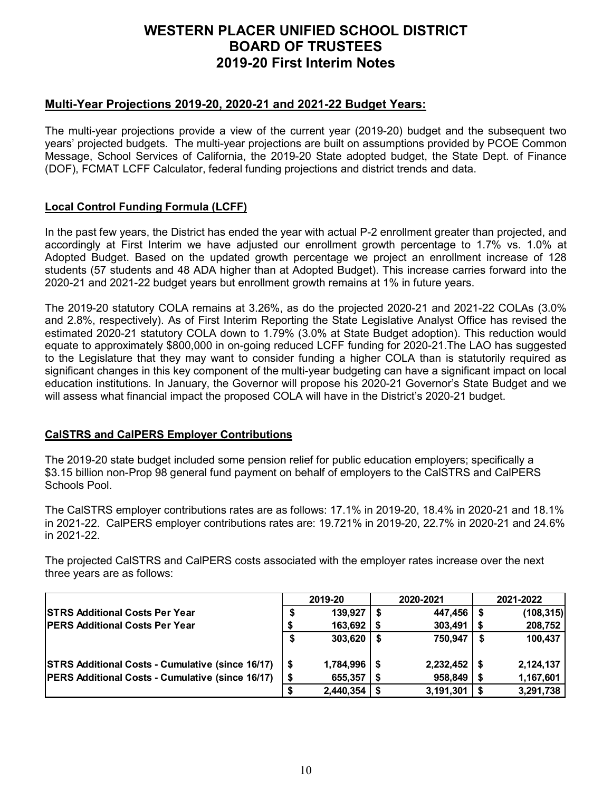### **Multi-Year Projections 2019-20, 2020-21 and 2021-22 Budget Years:**

The multi-year projections provide a view of the current year (2019-20) budget and the subsequent two years' projected budgets. The multi-year projections are built on assumptions provided by PCOE Common Message, School Services of California, the 2019-20 State adopted budget, the State Dept. of Finance (DOF), FCMAT LCFF Calculator, federal funding projections and district trends and data.

### **Local Control Funding Formula (LCFF)**

In the past few years, the District has ended the year with actual P-2 enrollment greater than projected, and accordingly at First Interim we have adjusted our enrollment growth percentage to 1.7% vs. 1.0% at Adopted Budget. Based on the updated growth percentage we project an enrollment increase of 128 students (57 students and 48 ADA higher than at Adopted Budget). This increase carries forward into the 2020-21 and 2021-22 budget years but enrollment growth remains at 1% in future years.

The 2019-20 statutory COLA remains at 3.26%, as do the projected 2020-21 and 2021-22 COLAs (3.0% and 2.8%, respectively). As of First Interim Reporting the State Legislative Analyst Office has revised the estimated 2020-21 statutory COLA down to 1.79% (3.0% at State Budget adoption). This reduction would equate to approximately \$800,000 in on-going reduced LCFF funding for 2020-21.The LAO has suggested to the Legislature that they may want to consider funding a higher COLA than is statutorily required as significant changes in this key component of the multi-year budgeting can have a significant impact on local education institutions. In January, the Governor will propose his 2020-21 Governor's State Budget and we will assess what financial impact the proposed COLA will have in the District's 2020-21 budget.

#### **CalSTRS and CalPERS Employer Contributions**

The 2019-20 state budget included some pension relief for public education employers; specifically a \$3.15 billion non-Prop 98 general fund payment on behalf of employers to the CalSTRS and CalPERS Schools Pool.

The CalSTRS employer contributions rates are as follows: 17.1% in 2019-20, 18.4% in 2020-21 and 18.1% in 2021-22. CalPERS employer contributions rates are: 19.721% in 2019-20, 22.7% in 2020-21 and 24.6% in 2021-22.

The projected CalSTRS and CalPERS costs associated with the employer rates increase over the next three years are as follows:

|                                                         | 2019-20       |  | 2020-2021 | 2021-2022 |            |  |
|---------------------------------------------------------|---------------|--|-----------|-----------|------------|--|
| <b>ISTRS Additional Costs Per Year</b>                  | 139,927       |  | 447,456   |           | (108, 315) |  |
| <b>PERS Additional Costs Per Year</b>                   | 163,692       |  | 303,491   |           | 208,752    |  |
|                                                         | \$<br>303,620 |  | 750,947   |           | 100,437    |  |
| <b>STRS Additional Costs - Cumulative (since 16/17)</b> | 1,784,996     |  | 2,232,452 |           | 2,124,137  |  |
| <b>PERS Additional Costs - Cumulative (since 16/17)</b> | 655,357       |  | 958,849   |           | 1,167,601  |  |
|                                                         | 2,440,354     |  | 3,191,301 |           | 3,291,738  |  |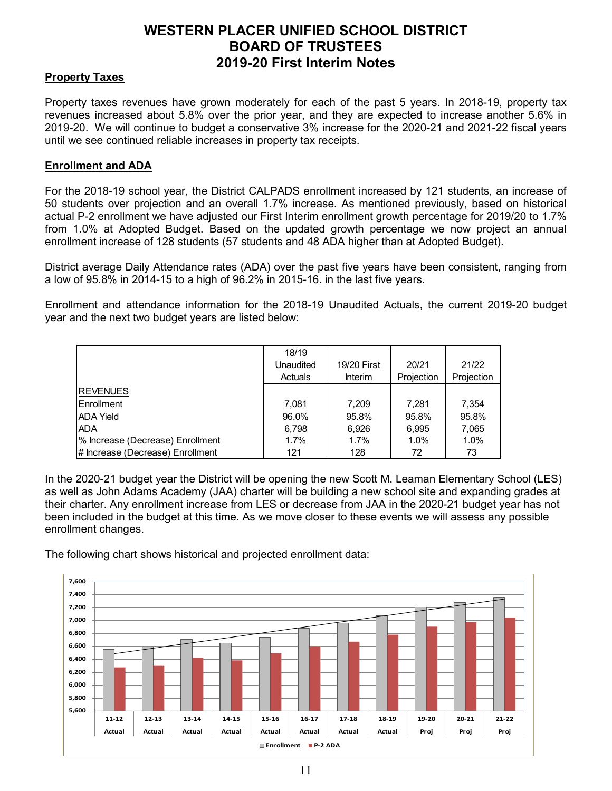### **Property Taxes**

Property taxes revenues have grown moderately for each of the past 5 years. In 2018-19, property tax revenues increased about 5.8% over the prior year, and they are expected to increase another 5.6% in 2019-20. We will continue to budget a conservative 3% increase for the 2020-21 and 2021-22 fiscal years until we see continued reliable increases in property tax receipts.

#### **Enrollment and ADA**

For the 2018-19 school year, the District CALPADS enrollment increased by 121 students, an increase of 50 students over projection and an overall 1.7% increase. As mentioned previously, based on historical actual P-2 enrollment we have adjusted our First Interim enrollment growth percentage for 2019/20 to 1.7% from 1.0% at Adopted Budget. Based on the updated growth percentage we now project an annual enrollment increase of 128 students (57 students and 48 ADA higher than at Adopted Budget).

District average Daily Attendance rates (ADA) over the past five years have been consistent, ranging from a low of 95.8% in 2014-15 to a high of 96.2% in 2015-16. in the last five years.

Enrollment and attendance information for the 2018-19 Unaudited Actuals, the current 2019-20 budget year and the next two budget years are listed below:

|                                  | 18/19<br>Unaudited<br>Actuals | 19/20 First<br><b>Interim</b> | 20/21<br>Projection | 21/22<br>Projection |
|----------------------------------|-------------------------------|-------------------------------|---------------------|---------------------|
| <b>REVENUES</b>                  |                               |                               |                     |                     |
| Enrollment                       | 7.081                         | 7,209                         | 7,281               | 7,354               |
| <b>ADA Yield</b>                 | 96.0%                         | 95.8%                         | 95.8%               | 95.8%               |
| <b>ADA</b>                       | 6,798                         | 6,926                         | 6,995               | 7,065               |
| % Increase (Decrease) Enrollment | 1.7%                          | 1.7%                          | 1.0%                | 1.0%                |
| # Increase (Decrease) Enrollment | 121                           | 128                           | 72                  | 73                  |

In the 2020-21 budget year the District will be opening the new Scott M. Leaman Elementary School (LES) as well as John Adams Academy (JAA) charter will be building a new school site and expanding grades at their charter. Any enrollment increase from LES or decrease from JAA in the 2020-21 budget year has not been included in the budget at this time. As we move closer to these events we will assess any possible enrollment changes.

The following chart shows historical and projected enrollment data:

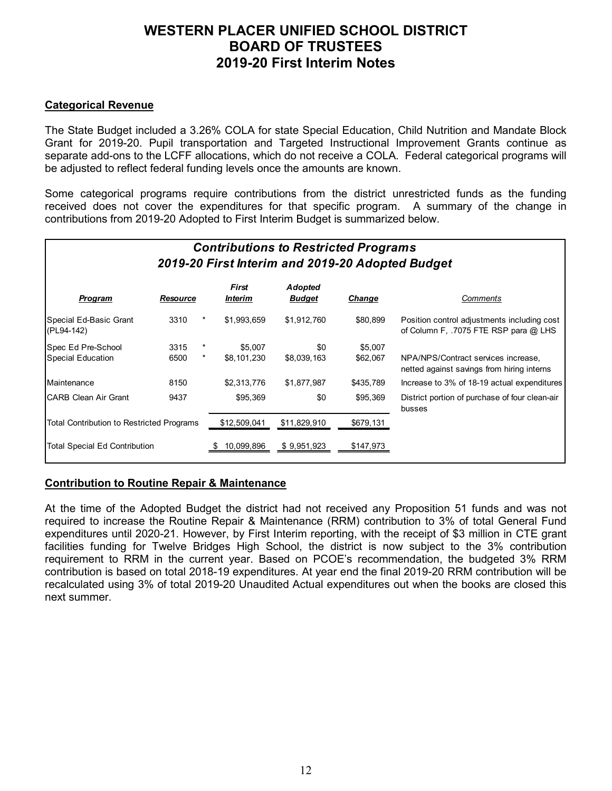#### **Categorical Revenue**

The State Budget included a 3.26% COLA for state Special Education, Child Nutrition and Mandate Block Grant for 2019-20. Pupil transportation and Targeted Instructional Improvement Grants continue as separate add-ons to the LCFF allocations, which do not receive a COLA. Federal categorical programs will be adjusted to reflect federal funding levels once the amounts are known.

Some categorical programs require contributions from the district unrestricted funds as the funding received does not cover the expenditures for that specific program. A summary of the change in contributions from 2019-20 Adopted to First Interim Budget is summarized below.

| <b>Contributions to Restricted Programs</b><br>2019-20 First Interim and 2019-20 Adopted Budget |          |          |                                       |                          |               |                                                                                      |  |  |  |
|-------------------------------------------------------------------------------------------------|----------|----------|---------------------------------------|--------------------------|---------------|--------------------------------------------------------------------------------------|--|--|--|
| <b>Program</b>                                                                                  | Resource |          | <b>First</b><br><i><b>Interim</b></i> | Adopted<br><u>Budget</u> | <b>Change</b> | Comments                                                                             |  |  |  |
| Special Ed-Basic Grant<br>(PL94-142)                                                            | 3310     |          | \$1,993,659                           | \$1,912,760              | \$80,899      | Position control adjustments including cost<br>of Column F, .7075 FTE RSP para @ LHS |  |  |  |
| Spec Ed Pre-School                                                                              | 3315     |          | \$5,007                               | \$0                      | \$5,007       |                                                                                      |  |  |  |
| Special Education                                                                               | 6500     | $^\star$ | \$8.101.230                           | \$8,039,163              | \$62,067      | NPA/NPS/Contract services increase,<br>netted against savings from hiring interns    |  |  |  |
| Maintenance                                                                                     | 8150     |          | \$2,313,776                           | \$1,877,987              | \$435,789     | Increase to 3% of 18-19 actual expenditures                                          |  |  |  |
| ICARB Clean Air Grant                                                                           | 9437     |          | \$95,369                              | \$0                      | \$95,369      | District portion of purchase of four clean-air<br>busses                             |  |  |  |
| <b>Total Contribution to Restricted Programs</b>                                                |          |          | \$12,509,041                          | \$11,829,910             | \$679,131     |                                                                                      |  |  |  |
| Total Special Ed Contribution                                                                   |          |          | 10,099,896                            | \$9,951,923              | \$147,973     |                                                                                      |  |  |  |

#### **Contribution to Routine Repair & Maintenance**

At the time of the Adopted Budget the district had not received any Proposition 51 funds and was not required to increase the Routine Repair & Maintenance (RRM) contribution to 3% of total General Fund expenditures until 2020-21. However, by First Interim reporting, with the receipt of \$3 million in CTE grant facilities funding for Twelve Bridges High School, the district is now subject to the 3% contribution requirement to RRM in the current year. Based on PCOE's recommendation, the budgeted 3% RRM contribution is based on total 2018-19 expenditures. At year end the final 2019-20 RRM contribution will be recalculated using 3% of total 2019-20 Unaudited Actual expenditures out when the books are closed this next summer.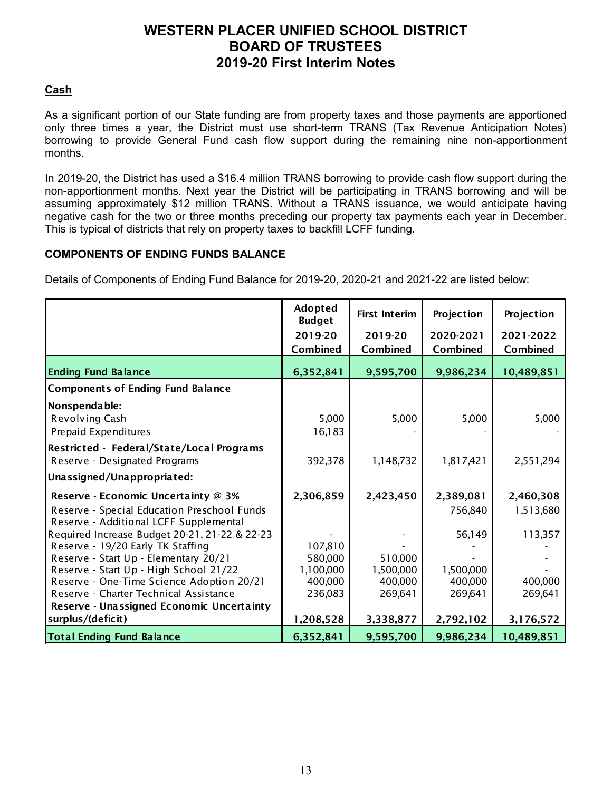### **Cash**

As a significant portion of our State funding are from property taxes and those payments are apportioned only three times a year, the District must use short-term TRANS (Tax Revenue Anticipation Notes) borrowing to provide General Fund cash flow support during the remaining nine non-apportionment months.

In 2019-20, the District has used a \$16.4 million TRANS borrowing to provide cash flow support during the non-apportionment months. Next year the District will be participating in TRANS borrowing and will be assuming approximately \$12 million TRANS. Without a TRANS issuance, we would anticipate having negative cash for the two or three months preceding our property tax payments each year in December. This is typical of districts that rely on property taxes to backfill LCFF funding.

#### **COMPONENTS OF ENDING FUNDS BALANCE**

Details of Components of Ending Fund Balance for 2019-20, 2020-21 and 2021-22 are listed below:

|                                               | Adopted<br><b>Budget</b> | <b>First Interim</b> | Projection | Projection |
|-----------------------------------------------|--------------------------|----------------------|------------|------------|
|                                               | 2019-20                  | 2019-20              | 2020-2021  | 2021-2022  |
|                                               | Combined                 | Combined             | Combined   | Combined   |
| <b>Ending Fund Balance</b>                    | 6,352,841                | 9,595,700            | 9,986,234  | 10,489,851 |
| <b>Components of Ending Fund Balance</b>      |                          |                      |            |            |
| Nonspendable:                                 |                          |                      |            |            |
| Revolving Cash                                | 5,000                    | 5,000                | 5,000      | 5,000      |
| Prepaid Expenditures                          | 16,183                   |                      |            |            |
| Restricted - Federal/State/Local Programs     |                          |                      |            |            |
| Reserve - Designated Programs                 | 392,378                  | 1,148,732            | 1,817,421  | 2,551,294  |
| Unassigned/Unappropriated:                    |                          |                      |            |            |
| Reserve - Economic Uncertainty @ 3%           | 2,306,859                | 2,423,450            | 2,389,081  | 2,460,308  |
| Reserve - Special Education Preschool Funds   |                          |                      | 756,840    | 1,513,680  |
| Reserve - Additional LCFF Supplemental        |                          |                      |            |            |
| Required Increase Budget 20-21, 21-22 & 22-23 |                          |                      | 56,149     | 113,357    |
| Reserve - 19/20 Early TK Staffing             | 107,810                  |                      |            |            |
| Reserve - Start Up - Elementary 20/21         | 580,000                  | 510,000              |            |            |
| Reserve - Start Up - High School 21/22        | 1,100,000                | 1,500,000            | 1,500,000  |            |
| Reserve - One-Time Science Adoption 20/21     | 400,000                  | 400,000              | 400,000    | 400,000    |
| Reserve - Charter Technical Assistance        | 236,083                  | 269,641              | 269,641    | 269,641    |
| Reserve - Unassigned Economic Uncertainty     |                          |                      |            |            |
| surplus/(deficit)                             | 1,208,528                | 3,338,877            | 2,792,102  | 3,176,572  |
| <b>Total Ending Fund Balance</b>              | 6,352,841                | 9,595,700            | 9,986,234  | 10,489,851 |